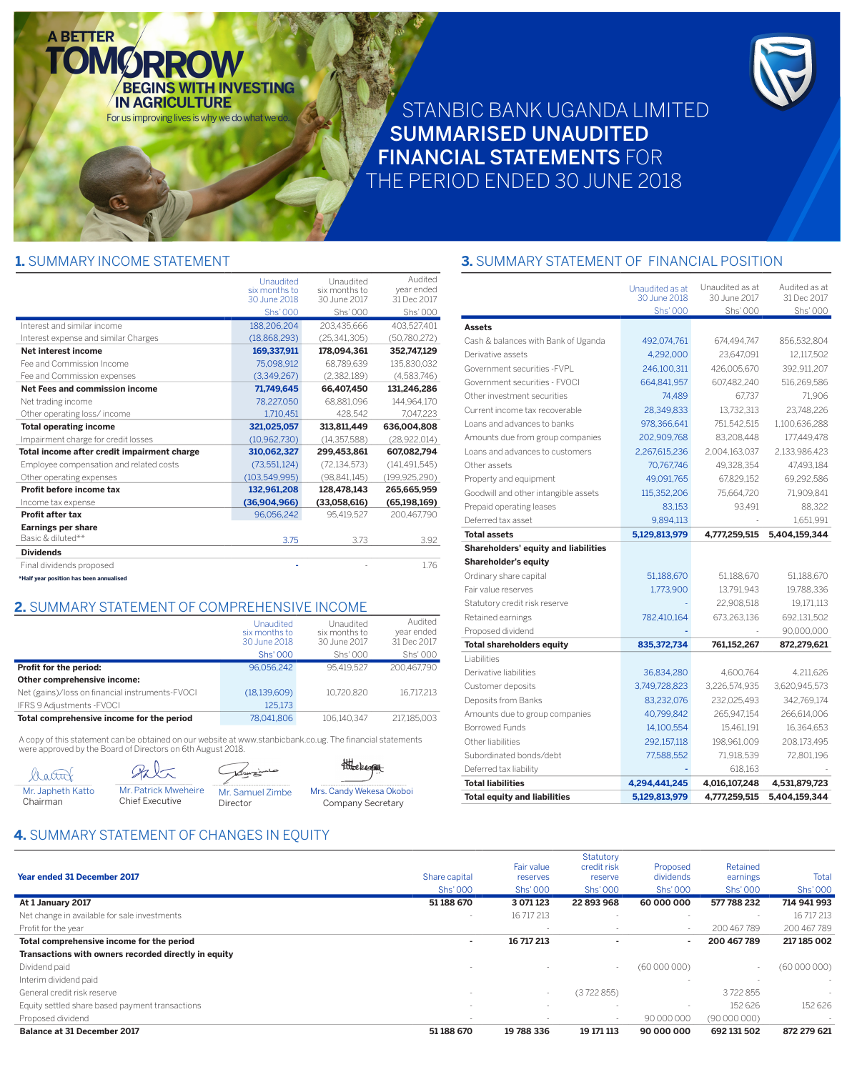# STANBIC BANK UGANDA LIMITED **SUMMARISED UNAUDITED FINANCIAL STATEMENTS FOR** THE PERIOD ENDED 30 JUNE 2018

#### 1. SUMMARY INCOME STATEMENT

**A BETTER** 

|                                             | Unaudited<br>six months to | Unaudited<br>six months to | Audited<br>year ended |
|---------------------------------------------|----------------------------|----------------------------|-----------------------|
|                                             | 30 June 2018               | 30 June 2017               | 31 Dec 2017           |
|                                             | <b>Shs'000</b>             | Shs' 000                   | Shs' 000              |
| Interest and similar income                 | 188,206,204                | 203,435,666                | 403,527,401           |
| Interest expense and similar Charges        | (18,868,293)               | (25, 341, 305)             | (50,780,272)          |
| Net interest income                         | 169,337,911                | 178,094,361                | 352,747,129           |
| Fee and Commission Income                   | 75,098,912                 | 68,789,639                 | 135,830,032           |
| Fee and Commission expenses                 | (3,349,267)                | (2,382,189)                | (4,583,746)           |
| Net Fees and commission income              | 71,749,645                 | 66,407,450                 | 131,246,286           |
| Net trading income                          | 78,227,050                 | 68,881,096                 | 144,964,170           |
| Other operating loss/income                 | 1,710,451                  | 428.542                    | 7,047,223             |
| <b>Total operating income</b>               | 321,025,057                | 313,811,449                | 636,004,808           |
| Impairment charge for credit losses         | (10, 962, 730)             | (14, 357, 588)             | (28, 922, 014)        |
| Total income after credit impairment charge | 310,062,327                | 299,453,861                | 607,082,794           |
| Employee compensation and related costs     | (73, 551, 124)             | (72, 134, 573)             | (141, 491, 545)       |
| Other operating expenses                    | (103, 549, 995)            | (98, 841, 145)             | (199, 925, 290)       |
| Profit before income tax                    | 132,961,208                | 128,478,143                | 265,665,959           |
| Income tax expense                          | (36,904,966)               | (33,058,616)               | (65, 198, 169)        |
| Profit after tax                            | 96,056,242                 | 95.419.527                 | 200.467.790           |
| <b>Earnings per share</b>                   |                            |                            |                       |
| Basic & diluted**                           | 3.75                       | 3.73                       | 3.92                  |
| <b>Dividends</b>                            |                            |                            |                       |
| Final dividends proposed                    |                            |                            | 1.76                  |
| *Half year position has been annualised     |                            |                            |                       |

**BEGINS WITH INVESTING** 

For us improving lives is why we do what we do.

**IN AGRICULTURE** 

#### 2. SUMMARY STATEMENT OF COMPREHENSIVE INCOME

|                                                 | Unaudited<br>six months to<br>30 June 2018 | Unaudited<br>six months to<br>30 June 2017 | Audited<br>year ended<br>31 Dec 2017 |
|-------------------------------------------------|--------------------------------------------|--------------------------------------------|--------------------------------------|
|                                                 | <b>Shs' 000</b>                            | Shs' 000                                   | Shs' 000                             |
| Profit for the period:                          | 96.056.242                                 | 95.419.527                                 | 200.467.790                          |
| Other comprehensive income:                     |                                            |                                            |                                      |
| Net (gains)/loss on financial instruments-FVOCI | (18, 139, 609)                             | 10.720.820                                 | 16.717.213                           |
| IFRS 9 Adjustments - FVOCI                      | 125,173                                    |                                            |                                      |
| Total comprehensive income for the period       | 78.041.806                                 | 106.140.347                                | 217.185.003                          |

A copy of this statement can be obtained on our website at www.stanbicbank.co.ug. The financial statements were approved by the Board of Directors on 6th August 2018.

| '_attu            |  |
|-------------------|--|
| Mr. Japheth Katto |  |
| Chairman          |  |

Mr. Patrick Mweheire

**Chief Executive** 

Mr. Samuel Zimbe Director

Komzinia

thereagent Mrs. Candy Wekesa Okoboi Company Secretary

### 3. SUMMARY STATEMENT OF FINANCIAL POSITION

|                                             | Unaudited as at<br>30 June 2018<br><b>Shs' 000</b> | Unaudited as at<br>30 June 2017<br>Shs' 000 | Audited as at<br>31 Dec 2017<br>Shs' 000 |
|---------------------------------------------|----------------------------------------------------|---------------------------------------------|------------------------------------------|
| <b>Assets</b>                               |                                                    |                                             |                                          |
| Cash & balances with Bank of Uganda         | 492,074,761                                        | 674,494,747                                 | 856,532,804                              |
| Derivative assets                           | 4,292,000                                          | 23,647,091                                  | 12,117,502                               |
| Government securities - FVPL                | 246,100,311                                        | 426,005,670                                 | 392,911,207                              |
| Government securities - FVOCI               | 664,841,957                                        | 607,482,240                                 | 516,269,586                              |
| Other investment securities                 | 74,489                                             | 67,737                                      | 71,906                                   |
| Current income tax recoverable              | 28,349,833                                         | 13,732,313                                  | 23,748,226                               |
| Loans and advances to banks                 | 978,366,641                                        | 751,542,515                                 | 1,100,636,288                            |
| Amounts due from group companies            | 202,909,768                                        | 83,208,448                                  | 177,449,478                              |
| Loans and advances to customers             | 2,267,615,236                                      | 2,004,163,037                               | 2,133,986,423                            |
| Other assets                                | 70,767,746                                         | 49,328,354                                  | 47,493,184                               |
| Property and equipment                      | 49,091,765                                         | 67,829,152                                  | 69,292,586                               |
| Goodwill and other intangible assets        | 115,352,206                                        | 75.664.720                                  | 71,909,841                               |
| Prepaid operating leases                    | 83.153                                             | 93.491                                      | 88.322                                   |
| Deferred tax asset                          | 9,894,113                                          |                                             | 1,651,991                                |
| <b>Total assets</b>                         | 5,129,813,979                                      | 4,777,259,515                               | 5,404,159,344                            |
| <b>Shareholders' equity and liabilities</b> |                                                    |                                             |                                          |
| <b>Shareholder's equity</b>                 |                                                    |                                             |                                          |
| Ordinary share capital                      | 51,188,670                                         | 51.188.670                                  | 51,188,670                               |
| Fair value reserves                         | 1,773,900                                          | 13,791,943                                  | 19,788,336                               |
| Statutory credit risk reserve               |                                                    | 22,908,518                                  | 19,171,113                               |
| Retained earnings                           | 782,410,164                                        | 673,263,136                                 | 692,131,502                              |
| Proposed dividend                           |                                                    |                                             | 90,000,000                               |
| <b>Total shareholders equity</b>            | 835,372,734                                        | 761,152,267                                 | 872,279,621                              |
| Liabilities                                 |                                                    |                                             |                                          |
| Derivative liabilities                      | 36,834,280                                         | 4,600,764                                   | 4,211,626                                |
| Customer deposits                           | 3,749,728,823                                      | 3,226,574,935                               | 3,620,945,573                            |
| Deposits from Banks                         | 83,232,076                                         | 232,025,493                                 | 342,769,174                              |
| Amounts due to group companies              | 40,799,842                                         | 265,947,154                                 | 266,614,006                              |
| <b>Borrowed Funds</b>                       | 14,100,554                                         | 15,461,191                                  | 16,364,653                               |
| Other liabilities                           | 292,157,118                                        | 198,961,009                                 | 208,173,495                              |
| Subordinated bonds/debt                     | 77,588,552                                         | 71,918,539                                  | 72,801,196                               |
| Deferred tax liability                      |                                                    | 618,163                                     |                                          |
| <b>Total liabilities</b>                    | 4,294,441,245                                      | 4,016,107,248                               | 4,531,879,723                            |
| <b>Total equity and liabilities</b>         | 5,129,813,979                                      | 4,777,259,515                               | 5,404,159,344                            |

## 4. SUMMARY STATEMENT OF CHANGES IN EQUITY

| <b>Balance at 31 December 2017</b>                   | 51 188 670               | 19 788 336             | 19 171 113             | 90 000 000               | 692 131 502              | 872 279 621    |
|------------------------------------------------------|--------------------------|------------------------|------------------------|--------------------------|--------------------------|----------------|
| Proposed dividend                                    | $\overline{\phantom{a}}$ |                        |                        | 90 000 000               | (90000000)               | $\overline{a}$ |
| Equity settled share based payment transactions      | $\overline{\phantom{a}}$ |                        |                        |                          | 152 626                  | 152 626        |
| General credit risk reserve                          |                          | $\sim$                 | (3722855)              |                          | 3722855                  |                |
| Interim dividend paid                                |                          |                        |                        |                          |                          | $\sim$         |
| Dividend paid                                        |                          |                        | $\sim$                 | (60000000)               | $\overline{\phantom{a}}$ | (60000000)     |
| Transactions with owners recorded directly in equity |                          |                        |                        |                          |                          |                |
| Total comprehensive income for the period            | ٠                        | 16 717 213             |                        | $\sim$                   | 200 467 789              | 217 185 002    |
| Profit for the year                                  |                          |                        |                        | $\overline{\phantom{a}}$ | 200 467 789              | 200 467 789    |
| Net change in available for sale investments         | $\overline{\phantom{a}}$ | 16 717 213             |                        |                          |                          | 16 717 213     |
| At 1 January 2017                                    | 51 188 670               | 3 071 123              | 22 893 968             | 60 000 000               | 577 788 232              | 714 941 993    |
|                                                      | <b>Shs'000</b>           | <b>Shs'000</b>         | Shs' 000               | <b>Shs'000</b>           | Shs' 000                 | <b>Shs'000</b> |
| <b>Year ended 31 December 2017</b>                   | Share capital            | Fair value<br>reserves | credit risk<br>reserve | Proposed<br>dividends    | Retained<br>earnings     | Total          |
|                                                      |                          |                        | Statutory              |                          |                          |                |